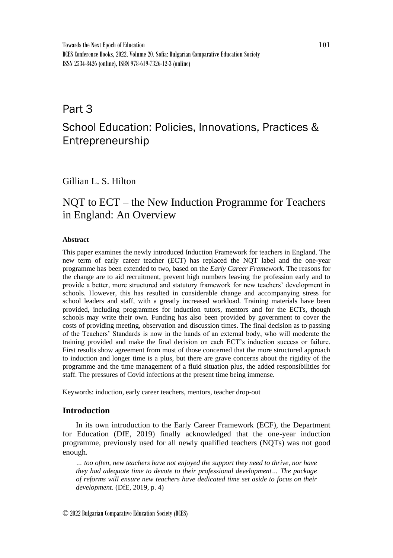## Part 3

# School Education: Policies, Innovations, Practices & Entrepreneurship

## Gillian L. S. Hilton

## NQT to ECT – the New Induction Programme for Teachers in England: An Overview

### **Abstract**

This paper examines the newly introduced Induction Framework for teachers in England. The new term of early career teacher (ECT) has replaced the NQT label and the one-year programme has been extended to two, based on the *Early Career Framework*. The reasons for the change are to aid recruitment, prevent high numbers leaving the profession early and to provide a better, more structured and statutory framework for new teachers' development in schools. However, this has resulted in considerable change and accompanying stress for school leaders and staff, with a greatly increased workload. Training materials have been provided, including programmes for induction tutors, mentors and for the ECTs, though schools may write their own. Funding has also been provided by government to cover the costs of providing meeting, observation and discussion times. The final decision as to passing of the Teachers' Standards is now in the hands of an external body, who will moderate the training provided and make the final decision on each ECT's induction success or failure. First results show agreement from most of those concerned that the more structured approach to induction and longer time is a plus, but there are grave concerns about the rigidity of the programme and the time management of a fluid situation plus, the added responsibilities for staff. The pressures of Covid infections at the present time being immense.

Keywords: induction, early career teachers, mentors, teacher drop-out

### **Introduction**

In its own introduction to the Early Career Framework (ECF), the Department for Education (DfE, 2019) finally acknowledged that the one-year induction programme, previously used for all newly qualified teachers (NQTs) was not good enough.

*… too often, new teachers have not enjoyed the support they need to thrive, nor have they had adequate time to devote to their professional development… The package of reforms will ensure new teachers have dedicated time set aside to focus on their development.* (DfE, 2019, p. 4)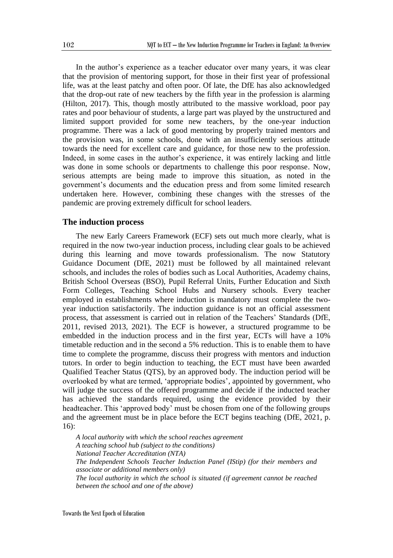In the author's experience as a teacher educator over many years, it was clear that the provision of mentoring support, for those in their first year of professional life, was at the least patchy and often poor. Of late, the DfE has also acknowledged that the drop-out rate of new teachers by the fifth year in the profession is alarming (Hilton, 2017). This, though mostly attributed to the massive workload, poor pay rates and poor behaviour of students, a large part was played by the unstructured and limited support provided for some new teachers, by the one-year induction programme. There was a lack of good mentoring by properly trained mentors and the provision was, in some schools, done with an insufficiently serious attitude towards the need for excellent care and guidance, for those new to the profession. Indeed, in some cases in the author's experience, it was entirely lacking and little was done in some schools or departments to challenge this poor response. Now, serious attempts are being made to improve this situation, as noted in the government's documents and the education press and from some limited research undertaken here. However, combining these changes with the stresses of the pandemic are proving extremely difficult for school leaders.

#### **The induction process**

The new Early Careers Framework (ECF) sets out much more clearly, what is required in the now two-year induction process, including clear goals to be achieved during this learning and move towards professionalism. The now Statutory Guidance Document (DfE, 2021) must be followed by all maintained relevant schools, and includes the roles of bodies such as Local Authorities, Academy chains, British School Overseas (BSO), Pupil Referral Units, Further Education and Sixth Form Colleges, Teaching School Hubs and Nursery schools. Every teacher employed in establishments where induction is mandatory must complete the twoyear induction satisfactorily. The induction guidance is not an official assessment process, that assessment is carried out in relation of the Teachers' Standards (DfE, 2011, revised 2013, 2021). The ECF is however, a structured programme to be embedded in the induction process and in the first year, ECTs will have a 10% timetable reduction and in the second a 5% reduction. This is to enable them to have time to complete the programme, discuss their progress with mentors and induction tutors. In order to begin induction to teaching, the ECT must have been awarded Qualified Teacher Status (QTS), by an approved body. The induction period will be overlooked by what are termed, 'appropriate bodies', appointed by government, who will judge the success of the offered programme and decide if the inducted teacher has achieved the standards required, using the evidence provided by their headteacher. This 'approved body' must be chosen from one of the following groups and the agreement must be in place before the ECT begins teaching (DfE, 2021, p. 16):

*A local authority with which the school reaches agreement A teaching school hub (subject to the conditions) National Teacher Accreditation (NTA) The Independent Schools Teacher Induction Panel (IStip) (for their members and associate or additional members only) The local authority in which the school is situated (if agreement cannot be reached between the school and one of the above)*

102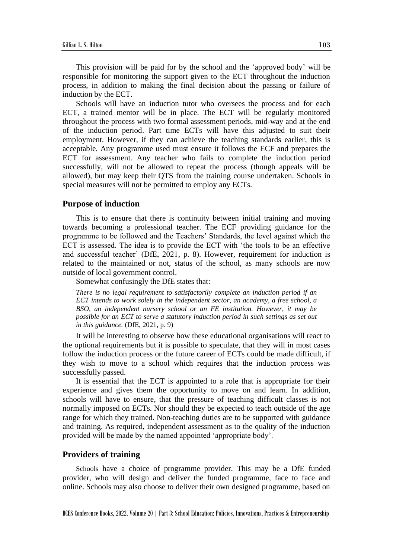This provision will be paid for by the school and the 'approved body' will be responsible for monitoring the support given to the ECT throughout the induction process, in addition to making the final decision about the passing or failure of induction by the ECT.

Schools will have an induction tutor who oversees the process and for each ECT, a trained mentor will be in place. The ECT will be regularly monitored throughout the process with two formal assessment periods, mid-way and at the end of the induction period. Part time ECTs will have this adjusted to suit their employment. However, if they can achieve the teaching standards earlier, this is acceptable. Any programme used must ensure it follows the ECF and prepares the ECT for assessment. Any teacher who fails to complete the induction period successfully, will not be allowed to repeat the process (though appeals will be allowed), but may keep their QTS from the training course undertaken. Schools in special measures will not be permitted to employ any ECTs.

#### **Purpose of induction**

This is to ensure that there is continuity between initial training and moving towards becoming a professional teacher. The ECF providing guidance for the programme to be followed and the Teachers' Standards, the level against which the ECT is assessed. The idea is to provide the ECT with 'the tools to be an effective and successful teacher' (DfE, 2021, p. 8). However, requirement for induction is related to the maintained or not, status of the school, as many schools are now outside of local government control.

Somewhat confusingly the DfE states that:

*There is no legal requirement to satisfactorily complete an induction period if an ECT intends to work solely in the independent sector, an academy, a free school, a BSO, an independent nursery school or an FE institution. However, it may be possible for an ECT to serve a statutory induction period in such settings as set out in this guidance.* (DfE, 2021, p. 9)

It will be interesting to observe how these educational organisations will react to the optional requirements but it is possible to speculate, that they will in most cases follow the induction process or the future career of ECTs could be made difficult, if they wish to move to a school which requires that the induction process was successfully passed.

It is essential that the ECT is appointed to a role that is appropriate for their experience and gives them the opportunity to move on and learn. In addition, schools will have to ensure, that the pressure of teaching difficult classes is not normally imposed on ECTs. Nor should they be expected to teach outside of the age range for which they trained. Non-teaching duties are to be supported with guidance and training. As required, independent assessment as to the quality of the induction provided will be made by the named appointed 'appropriate body'.

#### **Providers of training**

Schools have a choice of programme provider. This may be a DfE funded provider, who will design and deliver the funded programme, face to face and online. Schools may also choose to deliver their own designed programme, based on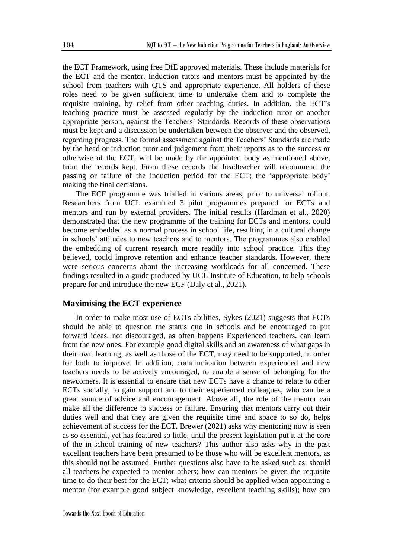the ECT Framework, using free DfE approved materials. These include materials for the ECT and the mentor. Induction tutors and mentors must be appointed by the school from teachers with QTS and appropriate experience. All holders of these roles need to be given sufficient time to undertake them and to complete the requisite training, by relief from other teaching duties. In addition, the ECT's teaching practice must be assessed regularly by the induction tutor or another appropriate person, against the Teachers' Standards. Records of these observations must be kept and a discussion be undertaken between the observer and the observed, regarding progress. The formal assessment against the Teachers' Standards are made by the head or induction tutor and judgement from their reports as to the success or otherwise of the ECT, will be made by the appointed body as mentioned above, from the records kept. From these records the headteacher will recommend the passing or failure of the induction period for the ECT; the 'appropriate body' making the final decisions.

The ECF programme was trialled in various areas, prior to universal rollout. Researchers from UCL examined 3 pilot programmes prepared for ECTs and mentors and run by external providers. The initial results (Hardman et al., 2020) demonstrated that the new programme of the training for ECTs and mentors, could become embedded as a normal process in school life, resulting in a cultural change in schools' attitudes to new teachers and to mentors. The programmes also enabled the embedding of current research more readily into school practice. This they believed, could improve retention and enhance teacher standards. However, there were serious concerns about the increasing workloads for all concerned. These findings resulted in a guide produced by UCL Institute of Education, to help schools prepare for and introduce the new ECF (Daly et al., 2021).

#### **Maximising the ECT experience**

In order to make most use of ECTs abilities, Sykes (2021) suggests that ECTs should be able to question the status quo in schools and be encouraged to put forward ideas, not discouraged, as often happens Experienced teachers, can learn from the new ones. For example good digital skills and an awareness of what gaps in their own learning, as well as those of the ECT, may need to be supported, in order for both to improve. In addition, communication between experienced and new teachers needs to be actively encouraged, to enable a sense of belonging for the newcomers. It is essential to ensure that new ECTs have a chance to relate to other ECTs socially, to gain support and to their experienced colleagues, who can be a great source of advice and encouragement. Above all, the role of the mentor can make all the difference to success or failure. Ensuring that mentors carry out their duties well and that they are given the requisite time and space to so do, helps achievement of success for the ECT. Brewer (2021) asks why mentoring now is seen as so essential, yet has featured so little, until the present legislation put it at the core of the in-school training of new teachers? This author also asks why in the past excellent teachers have been presumed to be those who will be excellent mentors, as this should not be assumed. Further questions also have to be asked such as, should all teachers be expected to mentor others; how can mentors be given the requisite time to do their best for the ECT; what criteria should be applied when appointing a mentor (for example good subject knowledge, excellent teaching skills); how can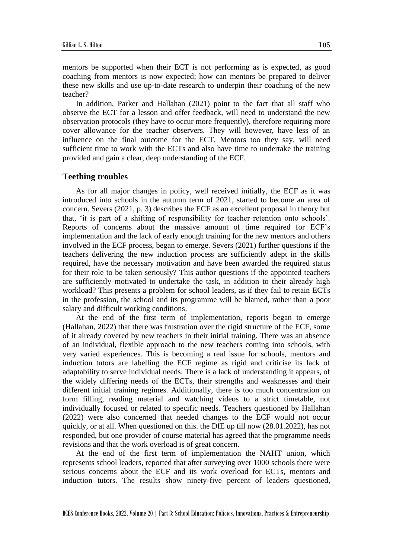mentors be supported when their ECT is not performing as is expected, as good coaching from mentors is now expected; how can mentors be prepared to deliver these new skills and use up-to-date research to underpin their coaching of the new teacher?

In addition, Parker and Hallahan (2021) point to the fact that all staff who observe the ECT for a lesson and offer feedback, will need to understand the new observation protocols (they have to occur more frequently), therefore requiring more cover allowance for the teacher observers. They will however, have less of an influence on the final outcome for the ECT. Mentors too they say, will need sufficient time to work with the ECTs and also have time to undertake the training provided and gain a clear, deep understanding of the ECF.

#### **Teething troubles**

As for all major changes in policy, well received initially, the ECF as it was introduced into schools in the autumn term of 2021, started to become an area of concern. Severs (2021, p. 3) describes the ECF as an excellent proposal in theory but that, 'it is part of a shifting of responsibility for teacher retention onto schools'. Reports of concerns about the massive amount of time required for ECF's implementation and the lack of early enough training for the new mentors and others involved in the ECF process, began to emerge. Severs (2021) further questions if the teachers delivering the new induction process are sufficiently adept in the skills required, have the necessary motivation and have been awarded the required status for their role to be taken seriously? This author questions if the appointed teachers are sufficiently motivated to undertake the task, in addition to their already high workload? This presents a problem for school leaders, as if they fail to retain ECTs in the profession, the school and its programme will be blamed, rather than a poor salary and difficult working conditions.

At the end of the first term of implementation, reports began to emerge (Hallahan, 2022) that there was frustration over the rigid structure of the ECF, some of it already covered by new teachers in their initial training. There was an absence of an individual, flexible approach to the new teachers coming into schools, with very varied experiences. This is becoming a real issue for schools, mentors and induction tutors are labelling the ECF regime as rigid and criticise its lack of adaptability to serve individual needs. There is a lack of understanding it appears, of the widely differing needs of the ECTs, their strengths and weaknesses and their different initial training regimes. Additionally, there is too much concentration on form filling, reading material and watching videos to a strict timetable, not individually focused or related to specific needs. Teachers questioned by Hallahan (2022) were also concerned that needed changes to the ECF would not occur quickly, or at all. When questioned on this. the DfE up till now (28.01.2022), has not responded, but one provider of course material has agreed that the programme needs revisions and that the work overload is of great concern.

At the end of the first term of implementation the NAHT union, which represents school leaders, reported that after surveying over 1000 schools there were serious concerns about the ECF and its work overload for ECTs, mentors and induction tutors. The results show ninety-five percent of leaders questioned,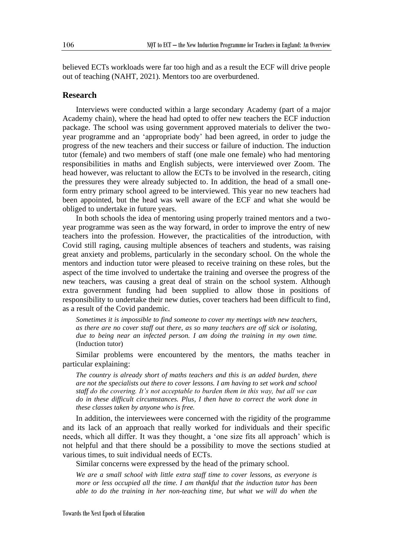believed ECTs workloads were far too high and as a result the ECF will drive people out of teaching (NAHT, 2021). Mentors too are overburdened.

#### **Research**

Interviews were conducted within a large secondary Academy (part of a major Academy chain), where the head had opted to offer new teachers the ECF induction package. The school was using government approved materials to deliver the twoyear programme and an 'appropriate body' had been agreed, in order to judge the progress of the new teachers and their success or failure of induction. The induction tutor (female) and two members of staff (one male one female) who had mentoring responsibilities in maths and English subjects, were interviewed over Zoom. The head however, was reluctant to allow the ECTs to be involved in the research, citing the pressures they were already subjected to. In addition, the head of a small oneform entry primary school agreed to be interviewed. This year no new teachers had been appointed, but the head was well aware of the ECF and what she would be obliged to undertake in future years.

In both schools the idea of mentoring using properly trained mentors and a twoyear programme was seen as the way forward, in order to improve the entry of new teachers into the profession. However, the practicalities of the introduction, with Covid still raging, causing multiple absences of teachers and students, was raising great anxiety and problems, particularly in the secondary school. On the whole the mentors and induction tutor were pleased to receive training on these roles, but the aspect of the time involved to undertake the training and oversee the progress of the new teachers, was causing a great deal of strain on the school system. Although extra government funding had been supplied to allow those in positions of responsibility to undertake their new duties, cover teachers had been difficult to find, as a result of the Covid pandemic.

*Sometimes it is impossible to find someone to cover my meetings with new teachers, as there are no cover staff out there, as so many teachers are off sick or isolating, due to being near an infected person. I am doing the training in my own time.*  (Induction tutor)

Similar problems were encountered by the mentors, the maths teacher in particular explaining:

*The country is already short of maths teachers and this is an added burden, there are not the specialists out there to cover lessons. I am having to set work and school staff do the covering. It's not acceptable to burden them in this way, but all we can do in these difficult circumstances. Plus, I then have to correct the work done in these classes taken by anyone who is free.* 

In addition, the interviewees were concerned with the rigidity of the programme and its lack of an approach that really worked for individuals and their specific needs, which all differ. It was they thought, a 'one size fits all approach' which is not helpful and that there should be a possibility to move the sections studied at various times, to suit individual needs of ECTs.

Similar concerns were expressed by the head of the primary school.

*We are a small school with little extra staff time to cover lessons, as everyone is more or less occupied all the time. I am thankful that the induction tutor has been able to do the training in her non-teaching time, but what we will do when the*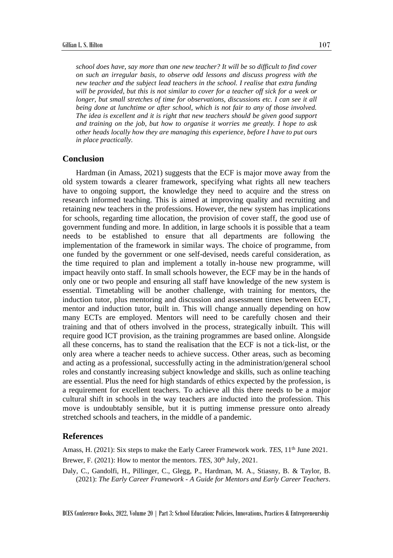*school does have, say more than one new teacher? It will be so difficult to find cover on such an irregular basis, to observe odd lessons and discuss progress with the new teacher and the subject lead teachers in the school. I realise that extra funding will be provided, but this is not similar to cover for a teacher off sick for a week or longer, but small stretches of time for observations, discussions etc. I can see it all being done at lunchtime or after school, which is not fair to any of those involved. The idea is excellent and it is right that new teachers should be given good support and training on the job, but how to organise it worries me greatly. I hope to ask other heads locally how they are managing this experience, before I have to put ours in place practically.*

#### **Conclusion**

Hardman (in Amass, 2021) suggests that the ECF is major move away from the old system towards a clearer framework, specifying what rights all new teachers have to ongoing support, the knowledge they need to acquire and the stress on research informed teaching. This is aimed at improving quality and recruiting and retaining new teachers in the professions. However, the new system has implications for schools, regarding time allocation, the provision of cover staff, the good use of government funding and more. In addition, in large schools it is possible that a team needs to be established to ensure that all departments are following the implementation of the framework in similar ways. The choice of programme, from one funded by the government or one self-devised, needs careful consideration, as the time required to plan and implement a totally in-house new programme, will impact heavily onto staff. In small schools however, the ECF may be in the hands of only one or two people and ensuring all staff have knowledge of the new system is essential. Timetabling will be another challenge, with training for mentors, the induction tutor, plus mentoring and discussion and assessment times between ECT, mentor and induction tutor, built in. This will change annually depending on how many ECTs are employed. Mentors will need to be carefully chosen and their training and that of others involved in the process, strategically inbuilt. This will require good ICT provision, as the training programmes are based online. Alongside all these concerns, has to stand the realisation that the ECF is not a tick-list, or the only area where a teacher needs to achieve success. Other areas, such as becoming and acting as a professional, successfully acting in the administration/general school roles and constantly increasing subject knowledge and skills, such as online teaching are essential. Plus the need for high standards of ethics expected by the profession, is a requirement for excellent teachers. To achieve all this there needs to be a major cultural shift in schools in the way teachers are inducted into the profession. This move is undoubtably sensible, but it is putting immense pressure onto already stretched schools and teachers, in the middle of a pandemic.

### **References**

Amass, H. (2021): Six steps to make the Early Career Framework work. *TES*, 11<sup>th</sup> June 2021. Brewer, F. (2021): How to mentor the mentors. *TES*, 30<sup>th</sup> July, 2021.

Daly, C., Gandolfi, H., Pillinger, C., Glegg, P., Hardman, M. A., Stiasny, B. & Taylor, B. (2021): *The Early Career Framework - A Guide for Mentors and Early Career Teachers*.

BCES Conference Books, 2022, Volume 20 | Part 3: School Education: Policies, Innovations, Practices & Entrepreneurship